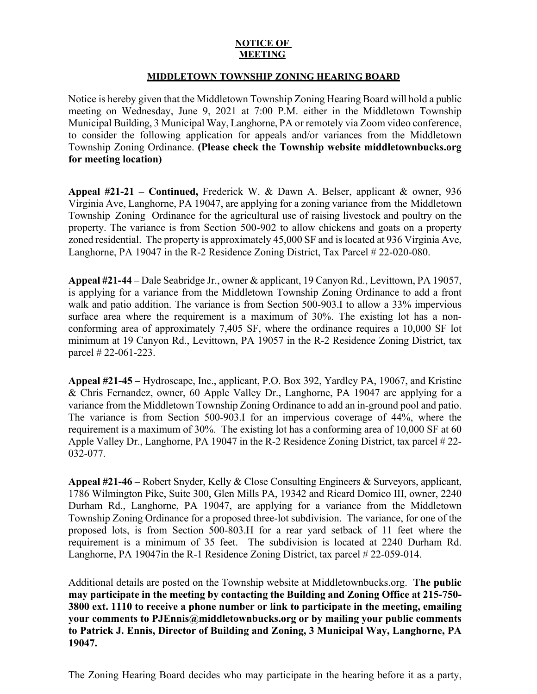## **NOTICE OF MEETING**

## **MIDDLETOWN TOWNSHIP ZONING HEARING BOARD**

Notice is hereby given that the Middletown Township Zoning Hearing Board will hold a public meeting on Wednesday, June 9, 2021 at 7:00 P.M. either in the Middletown Township Municipal Building, 3 Municipal Way, Langhorne, PA or remotely via Zoom video conference, to consider the following application for appeals and/or variances from the Middletown Township Zoning Ordinance. **(Please check the Township website middletownbucks.org for meeting location)** 

**Appeal #21-21 – Continued,** Frederick W. & Dawn A. Belser, applicant & owner, 936 Virginia Ave, Langhorne, PA 19047, are applying for a zoning variance from the Middletown Township Zoning Ordinance for the agricultural use of raising livestock and poultry on the property. The variance is from Section 500-902 to allow chickens and goats on a property zoned residential. The property is approximately 45,000 SF and is located at 936 Virginia Ave, Langhorne, PA 19047 in the R-2 Residence Zoning District, Tax Parcel # 22-020-080.

**Appeal #21-44** *–* Dale Seabridge Jr., owner & applicant, 19 Canyon Rd., Levittown, PA 19057, is applying for a variance from the Middletown Township Zoning Ordinance to add a front walk and patio addition. The variance is from Section 500-903. I to allow a 33% impervious surface area where the requirement is a maximum of 30%. The existing lot has a nonconforming area of approximately 7,405 SF, where the ordinance requires a 10,000 SF lot minimum at 19 Canyon Rd., Levittown, PA 19057 in the R-2 Residence Zoning District, tax parcel # 22-061-223.

**Appeal #21-45** *–* Hydroscape, Inc., applicant, P.O. Box 392, Yardley PA, 19067, and Kristine & Chris Fernandez, owner, 60 Apple Valley Dr., Langhorne, PA 19047 are applying for a variance from the Middletown Township Zoning Ordinance to add an in-ground pool and patio. The variance is from Section 500-903.I for an impervious coverage of 44%, where the requirement is a maximum of 30%. The existing lot has a conforming area of 10,000 SF at 60 Apple Valley Dr., Langhorne, PA 19047 in the R-2 Residence Zoning District, tax parcel # 22- 032-077.

**Appeal #21-46 –** Robert Snyder, Kelly & Close Consulting Engineers & Surveyors, applicant, 1786 Wilmington Pike, Suite 300, Glen Mills PA, 19342 and Ricard Domico III, owner, 2240 Durham Rd., Langhorne, PA 19047, are applying for a variance from the Middletown Township Zoning Ordinance for a proposed three-lot subdivision. The variance, for one of the proposed lots, is from Section 500-803.H for a rear yard setback of 11 feet where the requirement is a minimum of 35 feet. The subdivision is located at 2240 Durham Rd. Langhorne, PA 19047in the R-1 Residence Zoning District, tax parcel # 22-059-014.

Additional details are posted on the Township website at Middletownbucks.org. **The public may participate in the meeting by contacting the Building and Zoning Office at 215-750- 3800 ext. 1110 to receive a phone number or link to participate in the meeting, emailing your comments to PJEnnis@middletownbucks.org or by mailing your public comments to Patrick J. Ennis, Director of Building and Zoning, 3 Municipal Way, Langhorne, PA 19047.** 

The Zoning Hearing Board decides who may participate in the hearing before it as a party,